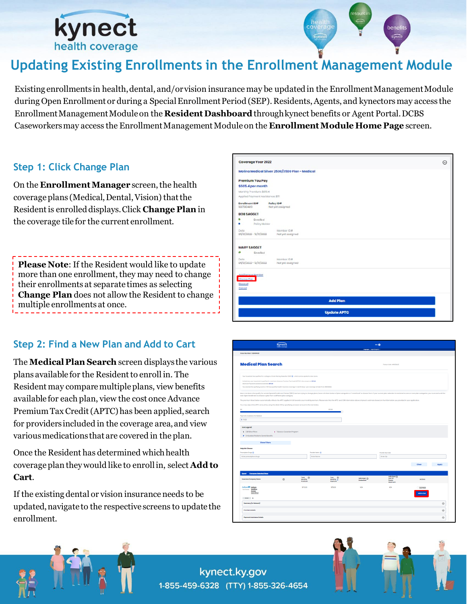

# **Updating Existing Enrollments in the Enrollment Management Module**

Existing enrollments in health, dental, and/or vision insurance may be updated in the Enrollment Management Module during Open Enrollment or during a Special Enrollment Period (SEP). Residents, Agents, and kynectors may access the Enrollment Management Module on the **Resident Dashboard** through kynect benefits or Agent Portal. DCBS Caseworkers may access the Enrollment Management Module on the **Enrollment Module Home Page** screen.

### **Step 1: Click Change Plan**

On the **Enrollment Manager** screen, the health coverage plans (Medical, Dental, Vision) that the Resident is enrolled displays. Click **Change Plan** in the coverage tile for the current enrollment.

**Please Note**: If the Resident would like to update more than one enrollment, they may need to change their enrollments at separate times as selecting **Change Plan** does not allow the Resident to change multiple enrollments at once.

### **Step 2: Find a New Plan and Add to Cart**

The **Medical Plan Search** screen displays the various plans available for the Resident to enroll in. The Resident may compare multiple plans, view benefits available for each plan, view the cost once Advance Premium Tax Credit (APTC) has been applied, search for providers included in the coverage area, and view various medications that are covered in the plan.

Once the Resident has determined which health coverage plan they would like to enroll in, select **Add to Cart**.

If the existing dental or vision insurance needs to be updated, navigate to the respective screens to update the enrollment.



|                                                                                                                                                                                                                                                                                                                                                                                                                                              |                             |                                               |                                                                                                                                                                                                                                | temproper: tripto/jnights) v                    |                                                      |                                                                                                                                                                                                                                |
|----------------------------------------------------------------------------------------------------------------------------------------------------------------------------------------------------------------------------------------------------------------------------------------------------------------------------------------------------------------------------------------------------------------------------------------------|-----------------------------|-----------------------------------------------|--------------------------------------------------------------------------------------------------------------------------------------------------------------------------------------------------------------------------------|-------------------------------------------------|------------------------------------------------------|--------------------------------------------------------------------------------------------------------------------------------------------------------------------------------------------------------------------------------|
| Cose Number: 112848429                                                                                                                                                                                                                                                                                                                                                                                                                       |                             |                                               |                                                                                                                                                                                                                                |                                                 |                                                      |                                                                                                                                                                                                                                |
| <b>Medical Plan Search</b>                                                                                                                                                                                                                                                                                                                                                                                                                   |                             |                                               |                                                                                                                                                                                                                                |                                                 | (Tedoy's Detail 04/0/2022)                           |                                                                                                                                                                                                                                |
| Your household has qualified for a cotegory C Cost-Sharing Beduction (CS3) (B), which can be applied to sheer plans.<br>Collectively, your household is qualified for maximum Advance Premium Tax Credit (APTC) in the amount of: \$110.00<br>Moximum Poyment Assistance Available \$11.00<br>You selected the qualifying event as "Will lase qualified health insurance coverage in next 60 days", your coverage will start from 05/0/2022. |                             |                                               |                                                                                                                                                                                                                                |                                                 |                                                      |                                                                                                                                                                                                                                |
| next Open Enrollment to choose a plan from a different plan category.<br>You may adjust the APTC amount by using the slider OR by specifying on exact amount in the text below.                                                                                                                                                                                                                                                              |                             |                                               | The premium listed below outcomotically reflects the APTC opplied in full towards your monthly premium. Please note that the APTC and CSR information above is kynect's estimate based on the information you provided in your |                                                 |                                                      | Most members who qualify for certain Special Enrollment Periods (SEPs) and are trying to change plans, have a limited choice of plan cotegories or "metal level" to choose from If your current plan execution is restricted t |
| <b>th</b>                                                                                                                                                                                                                                                                                                                                                                                                                                    |                             |                                               | snoo                                                                                                                                                                                                                           |                                                 |                                                      |                                                                                                                                                                                                                                |
| Payments Assistance for Modical:<br>\$H00                                                                                                                                                                                                                                                                                                                                                                                                    |                             |                                               |                                                                                                                                                                                                                                |                                                 |                                                      |                                                                                                                                                                                                                                |
|                                                                                                                                                                                                                                                                                                                                                                                                                                              | T Tobacco Cessation Program |                                               |                                                                                                                                                                                                                                |                                                 |                                                      |                                                                                                                                                                                                                                |
| S CSR Silver Plans<br><b>P</b> Embedded Pediatria Demoi Benefits<br><b>Show Filters</b>                                                                                                                                                                                                                                                                                                                                                      |                             |                                               |                                                                                                                                                                                                                                |                                                 |                                                      |                                                                                                                                                                                                                                |
|                                                                                                                                                                                                                                                                                                                                                                                                                                              |                             | Provider Name @                               |                                                                                                                                                                                                                                |                                                 | Previder Zip Code                                    |                                                                                                                                                                                                                                |
| Compare Selected Plans                                                                                                                                                                                                                                                                                                                                                                                                                       |                             | Enter Nome                                    |                                                                                                                                                                                                                                |                                                 | Enter Zip                                            | Clear<br><b>Apply</b>                                                                                                                                                                                                          |
|                                                                                                                                                                                                                                                                                                                                                                                                                                              | $\odot$                     | Total<br>$\circledcirc$<br>Monthly<br>Promium | Your <sup>(1)</sup><br>Meethy C<br>Paymont                                                                                                                                                                                     | individual <sup>(i)</sup><br><b>Development</b> | <b>Individual (i)</b><br>Out-Of-<br>Pocket<br>Maximu | <b>Astiens</b>                                                                                                                                                                                                                 |
| Access<br>Core (PPC)<br>siver \$                                                                                                                                                                                                                                                                                                                                                                                                             |                             | \$170.00                                      | \$59.00                                                                                                                                                                                                                        | N/A                                             | N/A                                                  | Compare                                                                                                                                                                                                                        |
| Summary (In-Network)                                                                                                                                                                                                                                                                                                                                                                                                                         |                             |                                               |                                                                                                                                                                                                                                |                                                 |                                                      | $\odot$                                                                                                                                                                                                                        |
| <b>kontegend</b><br><b>Help Me Choose</b><br>Prescription Drugs (D)<br>Enter prescription chugs<br><b>Export</b><br>Insurance Company Name<br>Anthem@0 Anthony<br>Not lighted Medition<br><b>Premium Details</b>                                                                                                                                                                                                                             |                             |                                               |                                                                                                                                                                                                                                |                                                 |                                                      | $_{\odot}$                                                                                                                                                                                                                     |

kynect.ky.gov 1-855-459-6328 (TTY) 1-855-326-4654